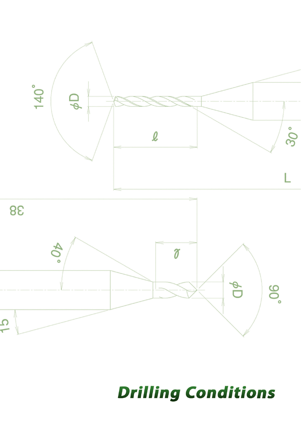

# **Drilling Conditions**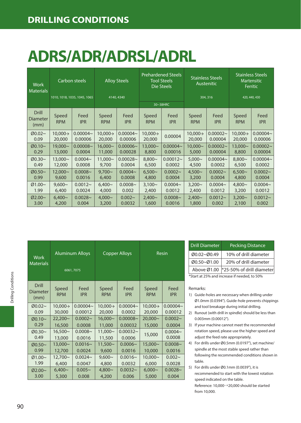# **ADRS/ADR/ADRSL/ADRL**

| <b>Work</b><br><b>Materials</b>         | Carbon steels<br>1010, 1018, 1035, 1045, 1065 |                    | <b>Alloy Steels</b><br>4140, 4340 |                    | <b>Prehardened Steels</b><br><b>Tool Steels</b><br>Die Steels |                    | <b>Stainless Steels</b><br>Austenitic |                    | <b>Stainless Steels</b><br><b>Martensitic</b><br>Ferritic |                    |
|-----------------------------------------|-----------------------------------------------|--------------------|-----------------------------------|--------------------|---------------------------------------------------------------|--------------------|---------------------------------------|--------------------|-----------------------------------------------------------|--------------------|
|                                         |                                               |                    |                                   |                    | 30~38HRC                                                      |                    | 304, 316                              |                    | 420, 440, 430                                             |                    |
| <b>Drill</b><br><b>Diameter</b><br>(mm) | Speed<br><b>RPM</b>                           | Feed<br><b>IPR</b> | Speed<br><b>RPM</b>               | Feed<br><b>IPR</b> | Speed<br><b>RPM</b>                                           | Feed<br><b>IPR</b> | Speed<br><b>RPM</b>                   | Feed<br><b>IPR</b> | Speed<br><b>RPM</b>                                       | Feed<br><b>IPR</b> |
| Ø0.02~                                  | $10.000 \rightarrow$                          | $0.00004 -$        | $10.000 \rightarrow$              | $0.00004 -$        | $10.000 \rightarrow$                                          | 0.00004            | $10.000 \rightarrow$                  | $0.00002 -$        | $10.000 \rightarrow$                                      | $0.00004 -$        |
| 0.09                                    | 20,000                                        | 0.00006            | 20,000                            | 0.00006            | 20,000                                                        |                    | 20,000                                | 0.00004            | 20,000                                                    | 0.00006            |
| Ø0.10~                                  | 19,000~                                       | $0.00008 -$        | $16.000 -$                        | $0.00006 -$        | $13.000 -$                                                    | $0.00004 -$        | $10.000 -$                            | $0.00002 -$        | $13.000 -$                                                | $0.00002 -$        |
| 0.29                                    | 13,000                                        | 0.0004             | 11,000                            | 0.00028            | 8,800                                                         | 0.00016            | 5,000                                 | 0.00004            | 8,800                                                     | 0.00004            |
| Ø0.30~                                  | $13.000 -$                                    | $0.0004 -$         | $11.000 -$                        | $0.00028 -$        | $8.800 -$                                                     | $0.00012 -$        | $5.000 -$                             | $0.00004 -$        | $8.800 -$                                                 | $0.00004 -$        |
| 0.49                                    | 12,000                                        | 0.0008             | 9,700                             | 0.0004             | 6,500                                                         | 0.0002             | 4,500                                 | 0.0002             | 6,500                                                     | 0.0002             |
| Ø0.50~                                  | $12.000 -$                                    | $0.0008 -$         | $9.700 -$                         | $0.0004 -$         | $6.500 -$                                                     | $0.0002 -$         | $4.500 -$                             | $0.0002 -$         | $6.500 -$                                                 | $0.0002 -$         |
| 0.99                                    | 9,600                                         | 0.0016             | 6,400                             | 0.0008             | 4,800                                                         | 0.0004             | 3,200                                 | 0.0004             | 4,800                                                     | 0.0004             |
| Ø1.00~                                  | $9.600\sim$                                   | $0.0012 -$         | $6.400 -$                         | $0.0008 -$         | $3.100 -$                                                     | $0.0004 -$         | $3.200 -$                             | $0.0004 -$         | $4.800 -$                                                 | $0.0004 -$         |
| 1.99                                    | 6,400                                         | 0.0024             | 4,000                             | 0.002              | 2,400                                                         | 0.0012             | 2,400                                 | 0.0012             | 3,200                                                     | 0.0012             |
| Ø2.00~                                  | $6.400 -$                                     | $0.0028 -$         | $4.000 -$                         | $0.002 -$          | $2.400 -$                                                     | $0.0008 -$         | $2,400 -$                             | $0.0012 -$         | $3.200 -$                                                 | $0.0012 -$         |
| 3.00                                    | 4,200                                         | 0.004              | 3,200                             | 0.0032             | 1,600                                                         | 0.0016             | 1,800                                 | 0.002              | 2,100                                                     | 0.002              |

| <b>Work</b><br><b>Materials</b>  | 6061,7075            | <b>Aluminum Alloys</b> | <b>Copper Alloys</b> |                    | Resin                |                    |
|----------------------------------|----------------------|------------------------|----------------------|--------------------|----------------------|--------------------|
| Drill<br><b>Diameter</b><br>(mm) | Speed<br><b>RPM</b>  | Feed<br><b>IPR</b>     | Speed<br><b>RPM</b>  | Feed<br><b>IPR</b> | Speed<br><b>RPM</b>  | Feed<br><b>IPR</b> |
| $00.02 -$                        | $10,000 \rightarrow$ | $0.00004 -$            | 10,000→              | $0.00004 -$        | $10,000 \rightarrow$ | $0.00004 -$        |
| 0.09                             | 30,000               | 0.00012                | 20,000               | 0.0002             | 20,000               | 0.00012            |
| $Ø0.10-$                         | $22,200 -$           | $0.0002 -$             | $16,000 -$           | $0.00008 -$        | $20,000 \sim$        | $0.0002 -$         |
| 0.29                             | 16,500               | 0.0008                 | 11,000               | 0.00032            | 15,000               | 0.0004             |
| $00.30 -$                        | $16,500-$            | $0.0008 -$             | $11,000 -$           | $0.00032 -$        | 15,000               | $0.0004 -$         |
| 0.49                             | 13,000               | 0.0016                 | 11,500               | 0.0006             |                      | 0.0008             |
| Ø0.50~                           | $13,000 -$           | $0.0016 -$             | $11,500-$            | $0.0006 -$         | 15,000~              | $0.0008 -$         |
| 0.99                             | 12,700               | 0.0024                 | 9,600                | 0.0016             | 10,000               | 0.0016             |
| Ø1.00~                           | $12,700 \sim$        | $0.0024 -$             | $9,600\sim$          | $0.0016 -$         | $10,000 \sim$        | $0.002 -$          |
| 1.99                             | 6.400                | 0.0047                 | 4,800                | 0.0032             | 6,000                | 0.0028             |
| Ø2.00~                           | $6,400 -$            | $0.005 -$              | $4,800 -$            | $0.0032 -$         | $6,000 -$            | $0.0028 -$         |
| 3.00                             | 5,300                | 0.008                  | 4,200                | 0.006              | 5,000                | 0.004              |

| <b>Drill Diameter</b> | <b>Pecking Distance</b>                      |
|-----------------------|----------------------------------------------|
| Ø0.02~Ø0.49           | 10% of drill diameter                        |
| Ø0.50~Ø1.00           | 20% of drill diameter                        |
| Above Ø1.00           | *25-50% of drill diameter                    |
|                       | *Start at 25% and increase if needed, to 50% |

- 1) Guide-holes are necessary when drilling under Ø1.0mm (0.0394"). Guide-hole prevents chippings and tool breakage during initial drilling.
- 2) Runout (with drill in spindle) should be less than 0.003mm (0.00012").
- 3) If your machine cannot meet the recommended rotation speed, please use the higher speed and adjust the feed rate appropriately.
- 4) For drills under Ø0.5mm (0.0197"), set machine/ spindle at the most stable speed rather than following the recommended conditions shown in table.
- 5) For drills under Ø0.1mm (0.0039"), it is recommended to start with the lowest rotation speed indicated on the table. Reference: 10,000→20,000 should be started from 10,000.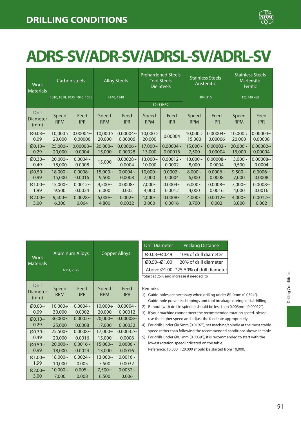

### **ADRS-SV/ADR-SV/ADRSL-SV/ADRL-SV**

| Work<br><b>Materials</b>                | Carbon steels        |                              | <b>Alloy Steels</b>  |                    | <b>Prehardened Steels</b><br><b>Tool Steels</b><br>Die Steels |                    | <b>Stainless Steels</b><br><b>Austenitic</b> |                    | <b>Stainless Steels</b><br>Martensitic<br><b>Ferritic</b> |                    |
|-----------------------------------------|----------------------|------------------------------|----------------------|--------------------|---------------------------------------------------------------|--------------------|----------------------------------------------|--------------------|-----------------------------------------------------------|--------------------|
|                                         |                      | 1010, 1018, 1035, 1045, 1065 |                      | 4140, 4340         |                                                               | 30~38HRC           |                                              | 304, 316           |                                                           | 420, 440, 430      |
| <b>Drill</b><br><b>Diameter</b><br>(mm) | Speed<br><b>RPM</b>  | Feed<br><b>IPR</b>           | Speed<br><b>RPM</b>  | Feed<br><b>IPR</b> | Speed<br><b>RPM</b>                                           | Feed<br><b>IPR</b> | Speed<br><b>RPM</b>                          | Feed<br><b>IPR</b> | Speed<br><b>RPM</b>                                       | Feed<br><b>IPR</b> |
| $Ø0.03~\sim$                            | $10,000 \rightarrow$ | $0.00004 -$                  | $10,000 \rightarrow$ | $0.00004 -$        | $10,000 \rightarrow$                                          | 0.00004            | $10,000 \rightarrow$                         | $0.00004 -$        | $10.000 \rightarrow$                                      | $0.00004 -$        |
| 0.09                                    | 20,000               | 0.00006                      | 20,000               | 0.00006            | 20,000                                                        |                    | 15,000                                       | 0.00006            | 20,000                                                    | 0.00008            |
| $Ø0.10-$                                | $25.000 -$           | $0.00008 -$                  | $20.000 -$           | $0.00006 -$        | 17,000~                                                       | $0.00004 -$        | 15,000~                                      | $0.00002 -$        | $20.000 -$                                                | $0.00002 -$        |
| 0.29                                    | 20,000               | 0.0004                       | 15,000               | 0.00028            | 13,000                                                        | 0.00016            | 7,500                                        | 0.00004            | 13,000                                                    | 0.00004            |
| $Ø0.30-$                                | $20.000 -$           | $0.0004 -$                   | 15,000               | $0.00028 -$        | $13.000 -$                                                    | $0.00012 -$        | $10.000 -$                                   | $0.00008 -$        | $13.000 -$                                                | $0.00008 -$        |
| 0.49                                    | 18,000               | 0.0008                       |                      | 0.0004             | 10,000                                                        | 0.0002             | 8,000                                        | 0.0004             | 9,500                                                     | 0.0004             |
| Ø0.50~                                  | 18,000~              | $0.0008 -$                   | 15,000~              | $0.0004 -$         | $10.000 -$                                                    | $0.0002 -$         | $8.000 -$                                    | $0.0006 -$         | $9.500 -$                                                 | $0.0006 -$         |
| 0.99                                    | 15,000               | 0.0016                       | 9,500                | 0.0008             | 7,000                                                         | 0.0004             | 6,000                                        | 0.0008             | 7,000                                                     | 0.0008             |
| Ø1.00~                                  | $15.000 -$           | $0.0012 -$                   | $9.500 -$            | $0.0008 -$         | $7.000 -$                                                     | $0.0004 -$         | $6.000 -$                                    | $0.0008 -$         | $7.000 -$                                                 | $0.0008 -$         |
| 1.99                                    | 9,500                | 0.0024                       | 6,000                | 0.002              | 4,000                                                         | 0.0012             | 4,000                                        | 0.0016             | 4,000                                                     | 0.0016             |
| Ø2.00~                                  | $9.500 -$            | $0.0028 -$                   | $6.000 -$            | $0.002 -$          | $4.000 -$                                                     | $0.0008 -$         | $4.000 -$                                    | $0.0012 -$         | $4.000 -$                                                 | $0.0012 -$         |
| 3.00                                    | 6,300                | 0.004                        | 4,800                | 0.0032             | 3,000                                                         | 0.0016             | 3,700                                        | 0.002              | 3,000                                                     | 0.002              |

| Work<br><b>Materials</b>  | <b>Aluminum Alloys</b><br>6061, 7075 |                    |                     | <b>Copper Alloys</b> |
|---------------------------|--------------------------------------|--------------------|---------------------|----------------------|
| Drill<br>Diameter<br>(mm) | Speed<br><b>RPM</b>                  | Feed<br><b>IPR</b> | Speed<br><b>RPM</b> | Feed<br><b>IPR</b>   |
| $Ø0.03~\sim$              | $10.000 \rightarrow$                 | $0.0004 -$         | 10,000→             | $0.00004 -$          |
| 0.09                      | 30,000                               | 0.0002             | 20,000              | 0.00012              |
| $Ø0.10-$                  | 30,000~                              | $0.0002 -$         | 20,000~             | $0.00008 -$          |
| 0.29                      | 25,000                               | 0.0008             | 17,000              | 0.00032              |
| $00.30 -$                 | $25,500-$                            | $0.0008 -$         | 17,000~             | $0.00032 -$          |
| 0.49                      | 20,000                               | 0.0016             | 15,000              | 0.0006               |
| Ø0.50~                    | 20,000~                              | $0.0016 -$         | 15,000~             | $0.0006 -$           |
| 0.99                      | 18,000                               | 0.0024             | 13,000              | 0.0016               |
| Ø1.00~                    | 18,000~                              | $0.0024 -$         | 13,000~             | $0.0016 -$           |
| 1.99                      | 10,000                               | 0.005              | 7,500               | 0.0032               |
| Ø2.00~                    | 10,000~                              | $0.005 -$          | $7,500-$            | $0.0032 -$           |
| 3.00                      | 7,000                                | 0.008              | 6,500               | 0.006                |

| <b>Drill Diameter</b>                    | <b>Pecking Distance</b>   |  |  |  |  |  |
|------------------------------------------|---------------------------|--|--|--|--|--|
| Ø0.03~Ø0.49                              | 10% of drill diameter     |  |  |  |  |  |
| Ø0.50~Ø1.00                              | 20% of drill diameter     |  |  |  |  |  |
| Above Ø1.00                              | *25-50% of drill diameter |  |  |  |  |  |
| *Start at 25% and increase if needed, to |                           |  |  |  |  |  |

Remarks:

- 1) Guide-holes are necessary when drilling under Ø1.0mm (0.0394"). Guide-hole prevents chippings and tool breakage during initial drilling.
- 2) Runout (with drill in spindle) should be less than 0.003mm (0.00012"). 3) If your machine cannot meet the recommended rotation speed, please
- use the higher speed and adjust the feed rate appropriately. 4) For drills under Ø0.5mm (0.0197"), set machine/spindle at the most stable
- speed rather than following the recommended conditions shown in table.
- 5) For drills under Ø0.1mm (0.0039"), it is recommended to start with the lowest rotation speed indicated on the table.

Reference: 10,000→20,000 should be started from 10,000.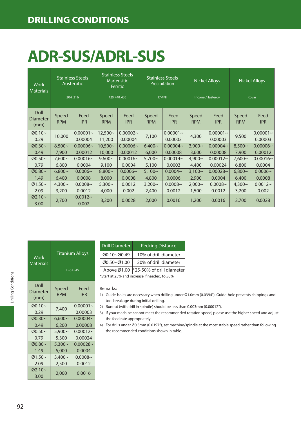# **ADR-SUS/ADRL-SUS**

| <b>Work</b><br><b>Materials</b>  |                     | <b>Stainless Steels</b><br>Austenitic<br>304, 316 |                      | <b>Stainless Steels</b><br><b>Martensitic</b><br>Ferritic<br>420, 440, 430 |                     | <b>Stainless Steels</b><br>Precipitation<br>17-4PH |                     | <b>Nickel Alloys</b><br>Inconel/Hasteroy |                     | <b>Nickel Alloys</b><br>Kovar |
|----------------------------------|---------------------|---------------------------------------------------|----------------------|----------------------------------------------------------------------------|---------------------|----------------------------------------------------|---------------------|------------------------------------------|---------------------|-------------------------------|
| <b>Drill</b><br>Diameter<br>(mm) | Speed<br><b>RPM</b> | Feed<br><b>IPR</b>                                | Speed<br><b>RPM</b>  | Feed<br><b>IPR</b>                                                         | Speed<br><b>RPM</b> | Feed<br><b>IPR</b>                                 | Speed<br><b>RPM</b> | Feed<br><b>IPR</b>                       | Speed<br><b>RPM</b> | Feed<br><b>IPR</b>            |
| Ø0.10~<br>0.29                   | 10,000              | $0.00001 -$<br>0.00004                            | $12.500 -$<br>11,200 | $0.00002 -$<br>0.00004                                                     | 7,100               | $0.00001 -$<br>0.00003                             | 4,300               | $0.00001 -$<br>0.00003                   | 9,500               | $0.00001 -$<br>0.00003        |
| Ø0.30~                           | $8.500 -$           | $0.00006 -$                                       | $10,500 -$           | $0.00006 -$                                                                | $6.400 -$           | $0.00004 -$                                        | $3.900 -$           | $0.00004 -$                              | $8.500 -$           | $0.00006 -$                   |
| 0.49                             | 7,900               | 0.00012                                           | 10,000               | 0.00012                                                                    | 6,000               | 0.00008                                            | 3,600               | 0.00008                                  | 7,900               | 0.00012                       |
| Ø0.50~                           | $7.600\sim$         | $0.00016 -$                                       | $9.600 -$            | $0.00016 -$                                                                | $5.700\sim$         | $0.00014 -$                                        | $4.900\sim$         | $0.00012 -$                              | $7.600\sim$         | $0.00016 -$                   |
| 0.79                             | 6,800               | 0.0004                                            | 9,100                | 0.0004                                                                     | 5,100               | 0.0003                                             | 4,400               | 0.00024                                  | 6,800               | 0.0004                        |
| Ø0.80~                           | $6.800 -$           | $0.0006 -$                                        | $8.800 -$            | $0.0006 -$                                                                 | $5.100 -$           | $0.0004 -$                                         | $3,100 -$           | $0.00028 -$                              | $6.800 -$           | $0.0006 -$                    |
| 1.49                             | 6,400               | 0.0008                                            | 8,000                | 0.0008                                                                     | 4,800               | 0.0006                                             | 2,900               | 0.0004                                   | 6,400               | 0.0008                        |
| $Ø1.50~\sim$                     | $4,300\sim$         | $0.0008 -$                                        | $5,300-$             | 0.0012                                                                     | $3,200\sim$         | $0.0008 -$                                         | $2,000 -$           | $0.0008 -$                               | $4,300\sim$         | $0.0012 -$                    |
| 2.09                             | 3,200               | 0.0012                                            | 4,000                | 0.002                                                                      | 2,400               | 0.0012                                             | 1,500               | 0.0012                                   | 3,200               | 0.002                         |
| Ø2.10~<br>3.00                   | 2,700               | $0.0012 -$<br>0.002                               | 3,200                | 0.0028                                                                     | 2,000               | 0.0016                                             | 1,200               | 0.0016                                   | 2,700               | 0.0028                        |

| Work<br><b>Materials</b>  | <b>Titanium Alloys</b><br><b>Ti-6Al-4V</b> |                        |  |  |  |  |
|---------------------------|--------------------------------------------|------------------------|--|--|--|--|
| Drill<br>Diameter<br>(mm) | Speed<br><b>RPM</b>                        | Feed<br><b>IPR</b>     |  |  |  |  |
| $00.10 -$<br>0.29         | 7,400                                      | $0.00001 -$<br>0.00003 |  |  |  |  |
| $00.30 -$                 | $6,600-$                                   | $0.00004 -$            |  |  |  |  |
| 0.49                      | 6.200                                      | 0.00008                |  |  |  |  |
| Ø0.50~                    | $5,900 -$                                  | $0.00012 -$            |  |  |  |  |
| 0.79                      | 5,300                                      | 0.00024                |  |  |  |  |
| $00.80 -$                 | $5,300-$                                   | $0.00028 -$            |  |  |  |  |
| 1.49                      | 5,000                                      | 0.0004                 |  |  |  |  |
| Ø1.50~                    | $3,400 -$                                  | $0.0008 -$             |  |  |  |  |
| 2.09                      | 2,500                                      | 0.0012                 |  |  |  |  |
| $02.10-$<br>3.00          | 2,000                                      | 0.0016                 |  |  |  |  |

| <b>Drill Diameter</b> | <b>Pecking Distance</b>                      |
|-----------------------|----------------------------------------------|
| Ø0.10~Ø0.49           | 10% of drill diameter                        |
| Ø0.50~Ø1.00           | 20% of drill diameter                        |
|                       | Above Ø1.00 *25-50% of drill diameter        |
|                       | *Start at 25% and increase if needed, to 50% |

- 1) Guide-holes are necessary when drilling under Ø1.0mm (0.0394"). Guide-hole prevents chippings and tool breakage during initial drilling.
- 2) Runout (with drill in spindle) should be less than 0.003mm (0.00012").
- 3) If your machine cannot meet the recommended rotation speed, please use the higher speed and adjust the feed rate appropriately.
- 4) For drills under Ø0.5mm (0.0197"), set machine/spindle at the most stable speed rather than following the recommended conditions shown in table.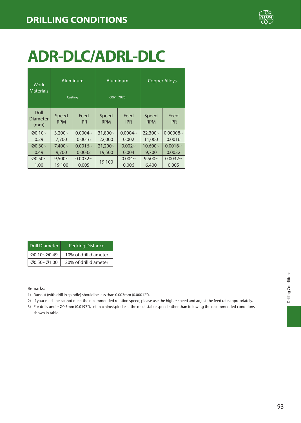

# **ADR-DLC/ADRL-DLC**

| Work<br><b>Materials</b>  | Aluminum            | Casting            |                     | Aluminum<br>6061, 7075 |                     | <b>Copper Alloys</b> |
|---------------------------|---------------------|--------------------|---------------------|------------------------|---------------------|----------------------|
| Drill<br>Diameter<br>(mm) | Speed<br><b>RPM</b> | Feed<br><b>IPR</b> | Speed<br><b>RPM</b> | Feed<br><b>IPR</b>     | Speed<br><b>RPM</b> | Feed<br><b>IPR</b>   |
| $Ø0.10-$                  | $3.200 -$           | $0.0004 -$         | $31.800 -$          | $0.0004 -$             | $22.300-$           | $0.00008 -$          |
| 0.29                      | 7.700               | 0.0016             | 22,000              | 0.002                  | 11,000              | 0.0016               |
| $\varnothing$ 0.30~       | $7.400 -$           | $0.0016 -$         | $21.200 -$          | $0.002 -$              | 10.600~             | $0.0016 -$           |
| 0.49                      | 9.700               | 0.0032             | 19,500              | 0.004                  | 9.700               | 0.0032               |
| $00.50-$                  | $9.500 -$           | $0.0032 -$         | 19,100              | $0.004 -$              | $9.500\sim$         | $0.0032 -$           |
| 1.00                      | 19,100              | 0.005              |                     | 0.006                  | 6.400               | 0.005                |

| <b>Drill Diameter</b> | <b>Pecking Distance</b> |
|-----------------------|-------------------------|
| Ø0.10~Ø0.49           | 10% of drill diameter   |
| Ø0.50~Ø1.00           | 20% of drill diameter   |

- 1) Runout (with drill in spindle) should be less than 0.003mm (0.00012").
- 2) If your machine cannot meet the recommended rotation speed, please use the higher speed and adjust the feed rate appropriately.
- 3) For drills under Ø0.5mm (0.0197"), set machine/spindle at the most stable speed rather than following the recommended conditions shown in table.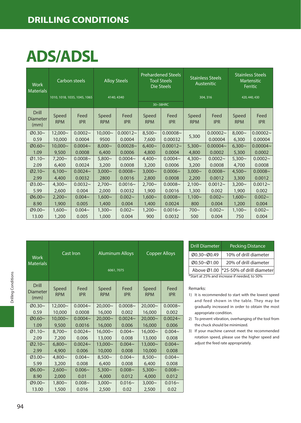### **ADS/ADSL**

| <b>Work</b><br><b>Materials</b>  | Carbon steels       |                              | <b>Alloy Steels</b> |                    | <b>Prehardened Steels</b><br><b>Tool Steels</b><br>Die Steels |                    | <b>Stainless Steels</b><br>Austenitic |                    | <b>Stainless Steels</b><br>Martensitic<br>Ferritic |                    |
|----------------------------------|---------------------|------------------------------|---------------------|--------------------|---------------------------------------------------------------|--------------------|---------------------------------------|--------------------|----------------------------------------------------|--------------------|
|                                  |                     | 1010, 1018, 1035, 1045, 1065 |                     | 4140, 4340         |                                                               |                    | 304, 316                              |                    | 420, 440, 430                                      |                    |
|                                  |                     |                              |                     |                    |                                                               | 30~38HRC           |                                       |                    |                                                    |                    |
| <b>Drill</b><br>Diameter<br>(mm) | Speed<br><b>RPM</b> | Feed<br><b>IPR</b>           | Speed<br><b>RPM</b> | Feed<br><b>IPR</b> | Speed<br><b>RPM</b>                                           | Feed<br><b>IPR</b> | Speed<br><b>RPM</b>                   | Feed<br><b>IPR</b> | Speed<br><b>RPM</b>                                | Feed<br><b>IPR</b> |
| Ø0.30~                           | $12,000 -$          | $0.0002 -$                   | $10,000 \sim$       | $0.00012 -$        | $8,500-$                                                      | $0.00008 -$        |                                       | $0.00002 -$        | $8,000 -$                                          | $0.00002 -$        |
| 0.59                             | 10,000              | 0.0004                       | 9500                | 0.0004             | 7,600                                                         | 0.00032            | 5,300                                 | 0.00004            | 6,300                                              | 0.00004            |
| Ø0.60~                           | $10.000 -$          | $0.0004 -$                   | $8.000 -$           | $0.00028 -$        | $6.400 -$                                                     | $0.00012 -$        | $5,300 -$                             | $0.00004 -$        | $6.300 -$                                          | $0.00004 -$        |
| 1.09                             | 9,500               | 0.0008                       | 6,400               | 0.0006             | 4,800                                                         | 0.0004             | 4.800                                 | 0.0002             | 5,300                                              | 0.0002             |
| $Ø1.10~\sim$                     | $7.200 -$           | $0.0008 -$                   | $5.800 -$           | $0.0004 -$         | $4,400-$                                                      | $0.0004 -$         | $4,300 -$                             | $0.0002 -$         | $5,300 -$                                          | $0.0002 -$         |
| 2.09                             | 6,400               | 0.0024                       | 3,200               | 0.0008             | 3,200                                                         | 0.0006             | 3,200                                 | 0.0008             | 4,700                                              | 0.0008             |
| Ø2.10~                           | $6.100 -$           | $0.0024 -$                   | $3.000 -$           | $0.0008 -$         | $3,000 -$                                                     | $0.0006 -$         | $3,000 -$                             | $0.0008 -$         | $4.500 -$                                          | $0.0008 -$         |
| 2.99                             | 4.400               | 0.0032                       | 2800                | 0.0016             | 2,800                                                         | 0.0008             | 2,200                                 | 0.0012             | 3,300                                              | 0.0012             |
| Ø3.00~                           | $4.300 -$           | $0.0032 -$                   | $2.700 -$           | $0.0016 -$         | $2,700-$                                                      | $0.0008 -$         | $2,100 -$                             | $0.0012 -$         | $3,200 -$                                          | $0.0012 -$         |
| 5.99                             | 2,600               | 0.004                        | 2,000               | 0.0032             | 1,900                                                         | 0.0016             | 1,300                                 | 0.002              | 1,900                                              | 0.002              |
| 06.00~                           | $2,200 -$           | $0.004 -$                    | $1,600-$            | $0.002 -$          | $1,600 -$                                                     | $0.0008 -$         | $1,100 -$                             | $0.002 -$          | $1,600 -$                                          | $0.002 -$          |
| 8.90                             | 1,900               | 0.005                        | 1,400               | 0.004              | 1,400                                                         | 0.0024             | 800                                   | 0.004              | 1,200                                              | 0.004              |
| Ø9.00~                           | $1,600 -$           | $0.004 -$                    | $1.300 -$           | $0.002 -$          | $1,200 -$                                                     | $0.0016 -$         | $700 -$                               | $0.002 -$          | $1.100 -$                                          | $0.002 -$          |
| 13.00                            | 1,200               | 0.005                        | 1,000               | 0.004              | 900                                                           | 0.0032             | 500                                   | 0.004              | 750                                                | 0.004              |

| Work<br><b>Materials</b>  | Cast Iron           |                    | <b>Aluminum Alloys</b><br>6061, 7075 |                    | <b>Copper Alloys</b> |                    |  |
|---------------------------|---------------------|--------------------|--------------------------------------|--------------------|----------------------|--------------------|--|
| Drill<br>Diameter<br>(mm) | Speed<br><b>RPM</b> | Feed<br><b>IPR</b> | Speed<br><b>RPM</b>                  | Feed<br><b>IPR</b> | Speed<br><b>RPM</b>  | Feed<br><b>IPR</b> |  |
| $00.30 -$                 | 12,000~             | $0.0004 -$         | $20,000 \sim$                        | $0.0008 -$         | $20,000 \sim$        | $0.0008 -$         |  |
| 0.59                      | 10,000              | 0.0008             | 16,000                               | 0.002              | 16,000               | 0.002              |  |
| $00.60 -$                 | $10.000 -$          | $0.0004 -$         | $20,000 \sim$                        | $0.0024 -$         | 20.000~              | $0.0024 -$         |  |
| 1.09                      | 9,500               | 0.0016             | 16,000                               | 0.006              | 16,000               | 0.006              |  |
| $Ø1.10-$                  | $8,700 -$           | $0.0024 -$         | $16,000 -$                           | $0.004 -$          | $16,000 \sim$        | $0.004 -$          |  |
| 2.09                      | 7,200               | 0.006              | 13,000                               | 0.008              | 13,000               | 0.008              |  |
| $Ø2.10-$                  | $6,800\sim$         | $0.0024 -$         | 13,000~                              | $0.004 -$          | 13,000~              | $0.004 -$          |  |
| 2.99                      | 4,900               | 0.006              | 10,000                               | 0.008              | 10,000               | 0.008              |  |
| $03.00 -$                 | $4,800-$            | $0.004 -$          | $8,500-$                             | $0.004 -$          | $8,500-$             | $0.004 -$          |  |
| 5.99                      | 3,200               | 0.008              | 6,400                                | 0.008              | 6,400                | 0.008              |  |
| $06.00 -$                 | $2,600 -$           | $0.006 -$          | $5,300 -$                            | $0.008 -$          | $5,300-$             | $0.008 -$          |  |
| 8.90                      | 2,000               | 0.01               | 4,000                                | 0.012              | 4.000                | 0.012              |  |
| Ø9.00~                    | $1,800 -$           | $0.008 -$          | $3,000 -$                            | $0.016 -$          | $3,000 -$            | $0.016 -$          |  |
| 13.00                     | 1,500               | 0.016              | 2,500                                | 0.02               | 2,500                | 0.02               |  |

| <b>Drill Diameter</b> | <b>Pecking Distance</b>                      |  |  |  |  |  |  |
|-----------------------|----------------------------------------------|--|--|--|--|--|--|
| Ø0.30~Ø0.49           | 10% of drill diameter                        |  |  |  |  |  |  |
| Ø0.50~Ø1.00           | 20% of drill diameter                        |  |  |  |  |  |  |
| Above Ø1.00           | *25-50% of drill diameter                    |  |  |  |  |  |  |
|                       | *Start at 25% and increase if needed, to 50% |  |  |  |  |  |  |

- 1) It is recommended to start with the lowest speed and feed shown in the table. They may be gradually increased in order to obtain the most appropriate condition.
- 2) To prevent vibration, overhanging of the tool from the chuck should be minimized.
- 3) If your machine cannot meet the recommended rotation speed, please use the higher speed and adjust the feed rate appropriately.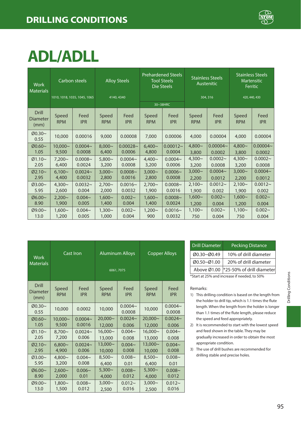

# **ADL/ADLL**

| <b>Work</b><br><b>Materials</b>  |                     | <b>Prehardened Steels</b><br><b>Alloy Steels</b><br><b>Tool Steels</b><br>Carbon steels<br>Die Steels |                     |                    | <b>Stainless Steels</b><br>Austenitic |                    | <b>Stainless Steels</b><br><b>Martensitic</b><br>Ferritic |                    |                     |                    |
|----------------------------------|---------------------|-------------------------------------------------------------------------------------------------------|---------------------|--------------------|---------------------------------------|--------------------|-----------------------------------------------------------|--------------------|---------------------|--------------------|
|                                  |                     | 1010, 1018, 1035, 1045, 1065                                                                          |                     | 4140, 4340         |                                       |                    |                                                           | 304, 316           | 420, 440, 430       |                    |
|                                  |                     |                                                                                                       |                     |                    |                                       | 30~38HRC           |                                                           |                    |                     |                    |
| <b>Drill</b><br>Diameter<br>(mm) | Speed<br><b>RPM</b> | Feed<br><b>IPR</b>                                                                                    | Speed<br><b>RPM</b> | Feed<br><b>IPR</b> | Speed<br><b>RPM</b>                   | Feed<br><b>IPR</b> | Speed<br><b>RPM</b>                                       | Feed<br><b>IPR</b> | Speed<br><b>RPM</b> | Feed<br><b>IPR</b> |
| Ø0.30~<br>0.55                   | 10,000              | 0.00016                                                                                               | 9,000               | 0.00008            | 7,000                                 | 0.00006            | 4,000                                                     | 0.00004            | 4,000               | 0.00004            |
| Ø0.60~                           | $10.000 -$          | $0.0004 -$                                                                                            | $8.000 -$           | $0.00028 -$        | $6.400 -$                             | $0.00012 -$        | $4,800 -$                                                 | $0.00004 -$        | $4,800 -$           | $0.00004 -$        |
| 1.05                             | 9,500               | 0.0008                                                                                                | 6.400               | 0.0006             | 4,800                                 | 0.0004             | 3,800                                                     | 0.0002             | 3,800               | 0.0002             |
| $Ø1.10~\sim$                     | $7,200 -$           | $0.0008 -$                                                                                            | $5.800 -$           | $0.0004 -$         | $4,400 -$                             | $0.0004 -$         | $4,300 -$                                                 | $0.0002 -$         | $4,300 -$           | $0.0002 -$         |
| 2.05                             | 6,400               | 0.0024                                                                                                | 3,200               | 0.0008             | 3,200                                 | 0.0006             | 3,200                                                     | 0.0008             | 3,200               | 0.0008             |
| $Ø2.10-$                         | $6.100 -$           | $0.0024 -$                                                                                            | $3.000 -$           | $0.0008 -$         | $3.000 -$                             | $0.0006 -$         | $3,000 -$                                                 | $0.0004 -$         | $3.000 -$           | $0.0004 -$         |
| 2.95                             | 4,400               | 0.0032                                                                                                | 2,800               | 0.0016             | 2,800                                 | 0.0008             | 2,200                                                     | 0.0012             | 2,200               | 0.0012             |
| Ø3.00~                           | $4,300 -$           | $0.0032 -$                                                                                            | $2,700 -$           | $0.0016 -$         | $2,700 -$                             | $0.0008 -$         | $2,100 -$                                                 | $0.0012 -$         | $2.100 -$           | $0.0012 -$         |
| 5.95                             | 2,600               | 0.004                                                                                                 | 2,000               | 0.0032             | 1,900                                 | 0.0016             | 1,900                                                     | 0.002              | 1,900               | 0.002              |
| Ø6.00~                           | $2.200 -$           | $0.004 -$                                                                                             | $1.600 -$           | $0.002 -$          | $1.600 -$                             | $0.0008 -$         | $1,600-$                                                  | $0.002 -$          | $1.600 -$           | $0.002 -$          |
| 8.90                             | 1,900               | 0.005                                                                                                 | 1,400               | 0.004              | 1,400                                 | 0.0024             | 1,200                                                     | 0.004              | 1,200               | 0.004              |
| Ø9.00~                           | $1.600 -$           | $0.004 -$                                                                                             | $1,300 -$           | $0.002 -$          | $1,200 -$                             | $0.0016 -$         | $1,100 -$                                                 | $0.002 -$          | $1,100 -$           | $0.002 -$          |
| 13.0                             | 1,200               | 0.005                                                                                                 | 1,000               | 0.004              | 900                                   | 0.0032             | 750                                                       | 0.004              | 750                 | 0.004              |

| Work<br><b>Materials</b>  | Cast Iron           |                    |                     | <b>Aluminum Alloys</b><br>6061,7075 | <b>Copper Alloys</b> |                      |  |
|---------------------------|---------------------|--------------------|---------------------|-------------------------------------|----------------------|----------------------|--|
| Drill<br>Diameter<br>(mm) | Speed<br><b>RPM</b> | Feed<br><b>IPR</b> | Speed<br><b>RPM</b> | Feed<br><b>IPR</b>                  | Speed<br><b>RPM</b>  | Feed<br><b>IPR</b>   |  |
| $00.30 -$<br>0.55         | 10,000              | 0.0002             | 10,000              | $0.0004 -$<br>0.0008                | 10,000               | $0.0004 -$<br>0.0008 |  |
| $00.60-$                  | $10.000 -$          | $0.0004 -$         | $20,000 \sim$       | $0.0024 -$                          | $20,000 \sim$        | $0.0024 -$           |  |
| 1.05                      | 9,500               | 0.0016             | 12,000              | 0.006                               | 12,000               | 0.006                |  |
| $Ø1.10-$                  | $8.700 -$           | $0.0024 -$         | $16,000 \sim$       | $0.004 -$                           | $16,000 \sim$        | $0.004 -$            |  |
| 2.05                      | 7,200               | 0.006              | 13,000              | 0.008                               | 13,000               | 0.008                |  |
| $Ø2.10-$                  | $6,800 -$           | $0.0024 -$         | 13,000~             | $0.004 -$                           | 13,000~              | $0.004 -$            |  |
| 2.95                      | 4.900               | 0.006              | 10,000              | 0.008                               | 10,000               | 0.008                |  |
| $03.00 -$                 | $4,800 -$           | $0.004 -$          | $8,500-$            | $0.008 -$                           | $8.500 -$            | $0.008 -$            |  |
| 5.95                      | 3,200               | 0.008              | 6.400               | 0.01                                | 6,400                | 0.01                 |  |
| $06.00 -$                 | 2.600~              | $0.006 -$          | $5,300 -$           | $0.008 -$                           | $5,300 -$            | $0.008 -$            |  |
| 8.90                      | 2.000               | 0.01               | 4,000               | 0.012                               | 4,000                | 0.012                |  |
| Ø9.00~                    | $1,800 -$           | $0.008 -$          | $3,000 -$           | $0.012 -$                           | $3,000 -$            | $0.012 -$            |  |
| 13.0                      | 1,500               | 0.012              | 2,500               | 0.016                               | 2,500                | 0.016                |  |

| <b>Drill Diameter</b>                        | <b>Pecking Distance</b>                            |  |  |  |  |  |
|----------------------------------------------|----------------------------------------------------|--|--|--|--|--|
| Ø0.30~Ø0.49                                  | 10% of drill diameter                              |  |  |  |  |  |
| Ø0.50~Ø1.00                                  | 20% of drill diameter                              |  |  |  |  |  |
|                                              | Above $\varnothing$ 1.00 *25-50% of drill diameter |  |  |  |  |  |
| *Start at 25% and increase if needed, to 50% |                                                    |  |  |  |  |  |

- 1) This drilling condition is based on the length from the holder to drill tip, which is 1.1 times the flute length. When the length from the holder is longer than 1.1 times of the flute length, please reduce the speed and feed appropriately.
- 2) It is recommended to start with the lowest speed and feed shown in the table. They may be gradually increased in order to obtain the most appropriate condition.
- 3) The use of drill bushes are recommended for drilling stable and precise holes.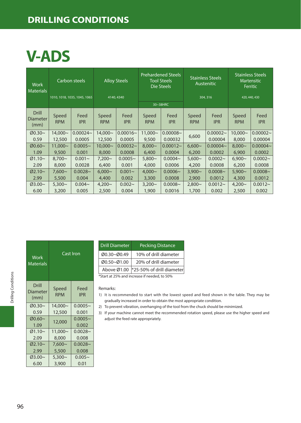### **DRILLING CONDITIONS**

### **V-ADS**

| <b>Work</b><br><b>Materials</b>         | Carbon steels       |                              | <b>Alloy Steels</b> |                    | <b>Prehardened Steels</b><br><b>Tool Steels</b><br>Die Steels |                    | <b>Stainless Steels</b><br>Austenitic |                    | <b>Stainless Steels</b><br><b>Martensitic</b><br>Ferritic |                    |
|-----------------------------------------|---------------------|------------------------------|---------------------|--------------------|---------------------------------------------------------------|--------------------|---------------------------------------|--------------------|-----------------------------------------------------------|--------------------|
|                                         |                     | 1010, 1018, 1035, 1045, 1065 | 4140, 4340          |                    |                                                               |                    |                                       | 304, 316           |                                                           | 420, 440, 430      |
|                                         |                     |                              |                     |                    |                                                               | 30~38HRC           |                                       |                    |                                                           |                    |
| <b>Drill</b><br><b>Diameter</b><br>(mm) | Speed<br><b>RPM</b> | Feed<br><b>IPR</b>           | Speed<br><b>RPM</b> | Feed<br><b>IPR</b> | Speed<br><b>RPM</b>                                           | Feed<br><b>IPR</b> | Speed<br><b>RPM</b>                   | Feed<br><b>IPR</b> | Speed<br><b>RPM</b>                                       | Feed<br><b>IPR</b> |
| Ø0.30~                                  | 14,000~             | $0.00024 -$                  | 14,000~             | $0.00016 -$        | $11.000 -$                                                    | $0.00008 -$        | 6,600                                 | $0.00002 -$        | $10.000 -$                                                | $0.00002 -$        |
| 0.59                                    | 12,500              | 0.0005                       | 12,500              | 0.0005             | 9,500                                                         | 0.00032            |                                       | 0.00004            | 8,000                                                     | 0.00004            |
| $Ø0.60~\sim$                            | $11.000 -$          | $0.0005 -$                   | $10.000 -$          | $0.00032 -$        | $8.000 -$                                                     | $0.00012 -$        | $6,600-$                              | $0.00004 -$        | $8.000 -$                                                 | $0.00004 -$        |
| 1.09                                    | 9,500               | 0.001                        | 8,000               | 0.0008             | 6,400                                                         | 0.0004             | 6,200                                 | 0.0002             | 6,900                                                     | 0.0002             |
| $Ø1.10~\sim$                            | $8.700 -$           | $0.001 -$                    | $7.200 -$           | $0.0005 -$         | $5.800 -$                                                     | $0.0004 -$         | $5.600\sim$                           | $0.0002 -$         | $6.900 -$                                                 | $0.0002 -$         |
| 2.09                                    | 8,000               | 0.0028                       | 6,400               | 0.001              | 4,000                                                         | 0.0006             | 4,200                                 | 0.0008             | 6,200                                                     | 0.0008             |
| $Ø2.10-$                                | $7.600~\sim$        | $0.0028 -$                   | $6.000 -$           | $0.001 -$          | $4.000 -$                                                     | $0.0006 -$         | $3.900 -$                             | $0.0008 -$         | $5.900 -$                                                 | $0.0008 -$         |
| 2.99                                    | 5,500               | 0.004                        | 4,400               | 0.002              | 3,300                                                         | 0.0008             | 2,900                                 | 0.0012             | 4,300                                                     | 0.0012             |
| Ø3.00~                                  | $5.300 -$           | $0.004 -$                    | $4,200 -$           | $0.002 -$          | $3,200 -$                                                     | $0.0008 -$         | $2,800-$                              | $0.0012 -$         | $4.200 -$                                                 | $0.0012 -$         |
| 6.00                                    | 3,200               | 0.005                        | 2,500               | 0.004              | 1,900                                                         | 0.0016             | 1,700                                 | 0.002              | 2,500                                                     | 0.002              |

| Work<br><b>Materials</b>         | Cast Iron           |                    |  |  |  |  |
|----------------------------------|---------------------|--------------------|--|--|--|--|
| Drill<br><b>Diameter</b><br>(mm) | Speed<br><b>RPM</b> | Feed<br><b>IPR</b> |  |  |  |  |
| $00.30 -$                        | 14,000~             | $0.0005 -$         |  |  |  |  |
| 0.59                             | 12,500              | 0.001              |  |  |  |  |
| Ø0.60~                           | 12,000              | $0.0005 -$         |  |  |  |  |
| 1.09                             |                     | 0.002              |  |  |  |  |
| $Ø1.10-$                         | $11,000 -$          | $0.0028 -$         |  |  |  |  |
| 2.09                             | 8,000               | 0.008              |  |  |  |  |
| $Ø2.10-$                         | $7,600-$            | $0.0028 -$         |  |  |  |  |
| 2.99                             | 5,500               | 0.008              |  |  |  |  |
| $03.00 -$                        | $5.300 -$           | $0.005 -$          |  |  |  |  |
| 6.00                             | 3,900               | 0.01               |  |  |  |  |

| <b>Drill Diameter</b>                        | <b>Pecking Distance</b>   |  |  |  |  |
|----------------------------------------------|---------------------------|--|--|--|--|
| Ø0.30~Ø0.49                                  | 10% of drill diameter     |  |  |  |  |
| Ø0.50~Ø1.00                                  | 20% of drill diameter     |  |  |  |  |
| Above Ø1.00                                  | *25-50% of drill diameter |  |  |  |  |
| *Start at 25% and increase if needed, to 50% |                           |  |  |  |  |

Remarks:

- 1) It is recommended to start with the lowest speed and feed shown in the table. They may be gradually increased in order to obtain the most appropriate condition.
- 2) To prevent vibration, overhanging of the tool from the chuck should be minimized.

3) If your machine cannot meet the recommended rotation speed, please use the higher speed and adjust the feed rate appropriately.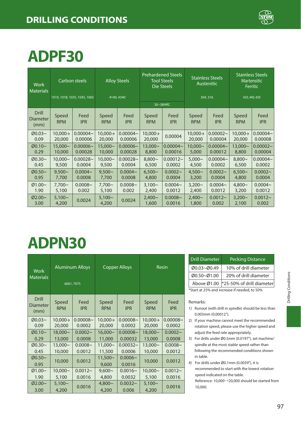

### **ADPF30**

| <b>Work</b><br><b>Materials</b>         |                      | Carbon steels                | <b>Prehardened Steels</b><br><b>Alloy Steels</b><br><b>Tool Steels</b><br>Die Steels |                    |                      | <b>Stainless Steels</b><br>Austenitic |                      | <b>Stainless Steels</b><br>Martensitic<br>Ferritic |                      |                     |
|-----------------------------------------|----------------------|------------------------------|--------------------------------------------------------------------------------------|--------------------|----------------------|---------------------------------------|----------------------|----------------------------------------------------|----------------------|---------------------|
|                                         |                      | 1010, 1018, 1035, 1045, 1065 | 4140, 4340                                                                           |                    | 304, 316<br>30~38HRC |                                       |                      |                                                    | 420, 440, 430        |                     |
| <b>Drill</b><br><b>Diameter</b><br>(mm) | Speed<br><b>RPM</b>  | Feed<br><b>IPR</b>           | Speed<br><b>RPM</b>                                                                  | Feed<br><b>IPR</b> | Speed<br><b>RPM</b>  | Feed<br><b>IPR</b>                    | Speed<br><b>RPM</b>  | Feed<br><b>IPR</b>                                 | Speed<br><b>RPM</b>  | Feed<br><b>IPR</b>  |
| Ø0.03~                                  | $10.000 \rightarrow$ | $0.00004 -$                  | $10,000 \rightarrow$                                                                 | $0.00004 -$        | $10,000 \rightarrow$ | 0.00004                               | $10,000 \rightarrow$ | $0.00002 -$                                        | $10,000 \rightarrow$ | $0.00004 -$         |
| 0.09                                    | 20,000               | 0.00006                      | 20,000                                                                               | 0.00006            | 20,000               |                                       | 20,000               | 0.00004                                            | 20,000               | 0.00008             |
| Ø0.10~                                  | 15,000~              | $0.00006 -$                  | $15.000 -$                                                                           | $0.00006 -$        | $13,000 -$           | $0.00004 -$                           | $10.000 -$           | $0.00004 -$                                        | $13.000 -$           | $0.00002 -$         |
| 0.29                                    | 10,000               | 0.00028                      | 10,000                                                                               | 0.00028            | 8,800                | 0.00016                               | 5,000                | 0.00012                                            | 8,800                | 0.00004             |
| Ø0.30~                                  | $10.000 -$           | $0.00028 -$                  | $10.000 -$                                                                           | $0.00028 -$        | $8.800 -$            | $0.00012 -$                           | $5.000 -$            | $0.00004 -$                                        | $8.800 -$            | $0.00004 -$         |
| 0.45                                    | 9,500                | 0.0004                       | 9,500                                                                                | 0.0004             | 6,500                | 0.0002                                | 4,500                | 0.0002                                             | 6,500                | 0.0002              |
| Ø0.50~                                  | $9.500 -$            | $0.0004 -$                   | $9.500 -$                                                                            | $0.0004 -$         | $6.500 -$            | $0.0002 -$                            | $4.500 -$            | $0.0002 -$                                         | $6.500 -$            | $0.0002 -$          |
| 0.95                                    | 7,700                | 0.0008                       | 7,700                                                                                | 0.0008             | 4,800                | 0.0004                                | 3,200                | 0.0004                                             | 4,800                | 0.0004              |
| Ø1.00~                                  | $7.700 -$            | $0.0008 -$                   | $7.700 -$                                                                            | $0.0008 -$         | $3.100 -$            | $0.0004 -$                            | $3.200 -$            | $0.0004 -$                                         | $4.800 -$            | $0.0004 -$          |
| 1.90                                    | 5,100                | 0.002                        | 5,100                                                                                | 0.002              | 2,400                | 0.0012                                | 2,400                | 0.0012                                             | 3,200                | 0.0012              |
| Ø2.00~<br>3.00                          | $5.100 -$<br>4,200   | 0.0024                       | $5,100-$<br>4,200                                                                    | 0.0024             | $2.400 -$<br>1,600   | $0.0008 -$<br>0.0016                  | $2.400 -$<br>1,800   | $0.0012 -$<br>0.002                                | $3.200 -$<br>2,100   | $0.0012 -$<br>0.002 |

### **ADPN30**

| <b>Work</b><br><b>Materials</b>  | <b>Aluminum Alloys</b><br>6061,7075 |                       |                                | <b>Copper Alloys</b>  | Resin               |                       |  |
|----------------------------------|-------------------------------------|-----------------------|--------------------------------|-----------------------|---------------------|-----------------------|--|
| <b>Drill</b><br>Diameter<br>(mm) | Speed<br><b>RPM</b>                 | Feed<br><b>IPR</b>    | Speed<br><b>RPM</b>            | Feed<br><b>IPR</b>    | Speed<br><b>RPM</b> | Feed<br><b>IPR</b>    |  |
| Ø0.03~<br>0.09                   | $10.000 \rightarrow$<br>20,000      | $0.00008 -$<br>0.0002 | $10.000 \rightarrow$<br>20,000 | $0.00008 -$<br>0.0002 | 10,000→<br>20,000   | $0.00008 -$<br>0.0002 |  |
| Ø0.10~                           | 18,000~                             | $0.0002 -$            | $16,000 -$                     | $0.00008 -$           | 18,000~             | $0.0002 -$            |  |
| 0.29                             | 13,000                              | 0.0008                | 11,000                         | 0.00032               | 13,000              | 0.0008                |  |
| Ø0.30~                           | $13,000 -$                          | $0.0008 -$            | $11,000 -$                     | $0.00032 -$           | $13,000 -$          | $0.0008 -$            |  |
| 0.45                             | 10,000                              | 0.0012                | 11,500                         | 0.0006                | 10,000              | 0.0012                |  |
| Ø0.50~                           |                                     | 0.0012                | $11,500 -$                     | $0.0006 -$            |                     | 0.0012                |  |
| 0.95                             | 10,000                              |                       | 9,600                          | 0.0016                | 10,000              |                       |  |
| Ø1.00~                           | $10,000 -$                          | $0.0012 -$            | $9,600 -$                      | $0.0016 -$            | $10,000 -$          | $0.0012 -$            |  |
| 1.90                             | 5,100                               | 0.0016                | 4,800                          | 0.0032                | 5,100               | 0.0016                |  |
| Ø2.00~                           | $5,100-$                            | 0.0016                | $4,800 -$                      | $0.0032 -$            | $5,100-$            | 0.0016                |  |
| 3.00                             | 4,200                               |                       | 4,200                          | 0.006                 | 4,200               |                       |  |

| <b>Drill Diameter</b>                        | <b>Pecking Distance</b>   |  |  |  |  |  |
|----------------------------------------------|---------------------------|--|--|--|--|--|
| Ø0.03~Ø0.49                                  | 10% of drill diameter     |  |  |  |  |  |
| Ø0.50~Ø1.00                                  | 20% of drill diameter     |  |  |  |  |  |
| Above Ø1.00                                  | *25-50% of drill diameter |  |  |  |  |  |
| *Start at 25% and increase if needed, to 50% |                           |  |  |  |  |  |

#### Remarks:

- 1) Runout (with drill in spindle) should be less than 0.003mm (0.00012").
- 2) If your machine cannot meet the recommended rotation speed, please use the higher speed and adjust the feed rate appropriately.
- 3) For drills under Ø0.5mm (0.0197"), set machine/ spindle at the most stable speed rather than following the recommended conditions shown in table.
- 4) For drills under Ø0.1mm (0.0039"), it is recommended to start with the lowest rotation speed indicated on the table.

Reference: 10,000→20,000 should be started from 10,000.